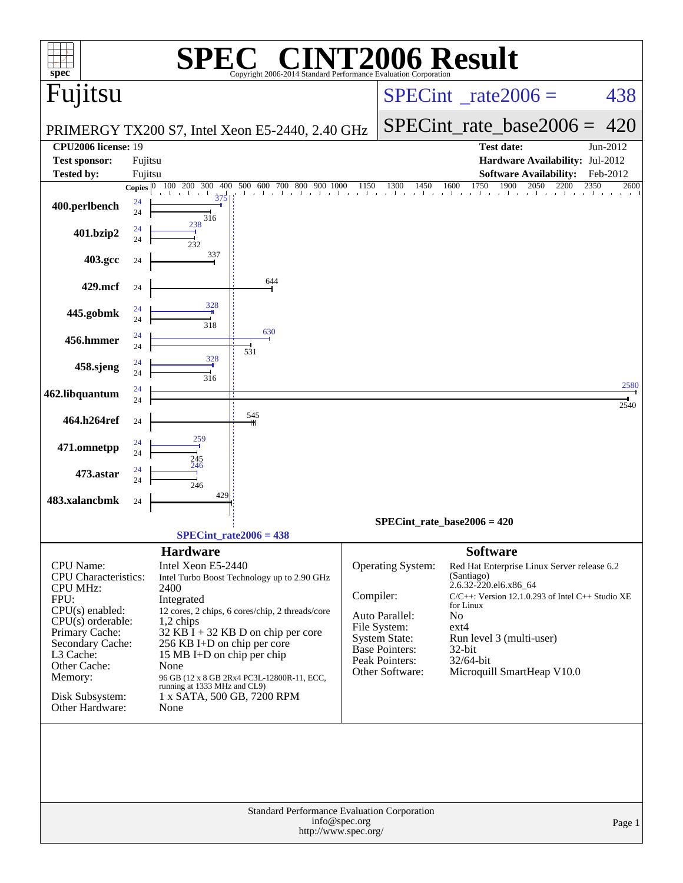| $\mathbf{Spec}^*$                                                                                                                                                                                                            |                           |                                                                                                                                                                                                                                                                                                                                                                                                             | Copyright 2006-2014 Standard Performance Evaluation Corporation            |               |                                                                                                                                          | <b>T2006 Result</b>                                                                                                                                                                                                                                                                           |                          |  |
|------------------------------------------------------------------------------------------------------------------------------------------------------------------------------------------------------------------------------|---------------------------|-------------------------------------------------------------------------------------------------------------------------------------------------------------------------------------------------------------------------------------------------------------------------------------------------------------------------------------------------------------------------------------------------------------|----------------------------------------------------------------------------|---------------|------------------------------------------------------------------------------------------------------------------------------------------|-----------------------------------------------------------------------------------------------------------------------------------------------------------------------------------------------------------------------------------------------------------------------------------------------|--------------------------|--|
| Fujitsu                                                                                                                                                                                                                      |                           |                                                                                                                                                                                                                                                                                                                                                                                                             |                                                                            |               |                                                                                                                                          | $SPECint^{\circ}$ <sub>_rate2006</sub> =                                                                                                                                                                                                                                                      | 438                      |  |
|                                                                                                                                                                                                                              |                           |                                                                                                                                                                                                                                                                                                                                                                                                             | PRIMERGY TX200 S7, Intel Xeon E5-2440, 2.40 GHz                            |               |                                                                                                                                          | $SPECint_rate_base2006 =$                                                                                                                                                                                                                                                                     | 420                      |  |
| <b>CPU2006</b> license: 19                                                                                                                                                                                                   |                           |                                                                                                                                                                                                                                                                                                                                                                                                             |                                                                            |               |                                                                                                                                          | <b>Test date:</b>                                                                                                                                                                                                                                                                             | Jun-2012                 |  |
| <b>Test sponsor:</b>                                                                                                                                                                                                         | Fujitsu                   |                                                                                                                                                                                                                                                                                                                                                                                                             |                                                                            |               |                                                                                                                                          | Hardware Availability: Jul-2012                                                                                                                                                                                                                                                               |                          |  |
| <b>Tested by:</b>                                                                                                                                                                                                            | Fujitsu                   | 300<br>400<br><b>200</b>                                                                                                                                                                                                                                                                                                                                                                                    | 500<br>600 700<br>800<br>900                                               | 1150          | 1300<br>1450                                                                                                                             | <b>Software Availability:</b><br>1750<br>1900<br>2050<br>1600<br>2200                                                                                                                                                                                                                         | Feb-2012<br>2350<br>2600 |  |
| 400.perlbench                                                                                                                                                                                                                | <b>Copies</b><br>24<br>24 | 375<br>316                                                                                                                                                                                                                                                                                                                                                                                                  |                                                                            |               |                                                                                                                                          |                                                                                                                                                                                                                                                                                               |                          |  |
| 401.bzip2                                                                                                                                                                                                                    | 24<br>24                  | 238<br>232                                                                                                                                                                                                                                                                                                                                                                                                  |                                                                            |               |                                                                                                                                          |                                                                                                                                                                                                                                                                                               |                          |  |
| 403.gcc                                                                                                                                                                                                                      | 24                        | 337                                                                                                                                                                                                                                                                                                                                                                                                         |                                                                            |               |                                                                                                                                          |                                                                                                                                                                                                                                                                                               |                          |  |
| 429.mcf                                                                                                                                                                                                                      | 24                        |                                                                                                                                                                                                                                                                                                                                                                                                             | 644                                                                        |               |                                                                                                                                          |                                                                                                                                                                                                                                                                                               |                          |  |
| 445.gobmk                                                                                                                                                                                                                    | 24<br>24                  | 328<br>318                                                                                                                                                                                                                                                                                                                                                                                                  |                                                                            |               |                                                                                                                                          |                                                                                                                                                                                                                                                                                               |                          |  |
| 456.hmmer                                                                                                                                                                                                                    | 24<br>24                  |                                                                                                                                                                                                                                                                                                                                                                                                             | 630<br>531                                                                 |               |                                                                                                                                          |                                                                                                                                                                                                                                                                                               |                          |  |
| 458.sjeng                                                                                                                                                                                                                    | 24<br>24                  | 328<br>316                                                                                                                                                                                                                                                                                                                                                                                                  |                                                                            |               |                                                                                                                                          |                                                                                                                                                                                                                                                                                               |                          |  |
| 462.libquantum                                                                                                                                                                                                               | 24<br>24                  |                                                                                                                                                                                                                                                                                                                                                                                                             |                                                                            |               |                                                                                                                                          |                                                                                                                                                                                                                                                                                               | 2580<br>2540             |  |
| 464.h264ref                                                                                                                                                                                                                  | 24                        |                                                                                                                                                                                                                                                                                                                                                                                                             | 545                                                                        |               |                                                                                                                                          |                                                                                                                                                                                                                                                                                               |                          |  |
| 471.omnetpp                                                                                                                                                                                                                  | 24<br>24                  | 259<br>245                                                                                                                                                                                                                                                                                                                                                                                                  |                                                                            |               |                                                                                                                                          |                                                                                                                                                                                                                                                                                               |                          |  |
| 473.astar                                                                                                                                                                                                                    | 24<br>24                  | 246<br>246                                                                                                                                                                                                                                                                                                                                                                                                  |                                                                            |               |                                                                                                                                          |                                                                                                                                                                                                                                                                                               |                          |  |
| 483.xalancbmk                                                                                                                                                                                                                | 24                        | 429                                                                                                                                                                                                                                                                                                                                                                                                         |                                                                            |               |                                                                                                                                          |                                                                                                                                                                                                                                                                                               |                          |  |
|                                                                                                                                                                                                                              |                           |                                                                                                                                                                                                                                                                                                                                                                                                             |                                                                            |               |                                                                                                                                          | $SPECint_rate_base2006 = 420$                                                                                                                                                                                                                                                                 |                          |  |
|                                                                                                                                                                                                                              |                           |                                                                                                                                                                                                                                                                                                                                                                                                             | $SPECint_rate2006 = 438$                                                   |               |                                                                                                                                          |                                                                                                                                                                                                                                                                                               |                          |  |
| CPU Name:<br>CPU Characteristics:<br><b>CPU MHz:</b><br>FPU:<br>$CPU(s)$ enabled:<br>$CPU(s)$ orderable:<br>Primary Cache:<br>Secondary Cache:<br>L3 Cache:<br>Other Cache:<br>Memory:<br>Disk Subsystem:<br>Other Hardware: |                           | <b>Hardware</b><br>Intel Xeon E5-2440<br>Intel Turbo Boost Technology up to 2.90 GHz<br>2400<br>Integrated<br>12 cores, 2 chips, 6 cores/chip, 2 threads/core<br>1,2 chips<br>$32$ KB I + 32 KB D on chip per core<br>256 KB I+D on chip per core<br>15 MB I+D on chip per chip<br>None<br>96 GB (12 x 8 GB 2Rx4 PC3L-12800R-11, ECC,<br>running at 1333 MHz and CL9)<br>1 x SATA, 500 GB, 7200 RPM<br>None |                                                                            |               | Operating System:<br>Compiler:<br>Auto Parallel:<br>File System:<br>System State:<br>Base Pointers:<br>Peak Pointers:<br>Other Software: | <b>Software</b><br>Red Hat Enterprise Linux Server release 6.2<br>(Santiago)<br>2.6.32-220.el6.x86_64<br>$C/C++$ : Version 12.1.0.293 of Intel $C++$ Studio XE<br>for Linux<br>N <sub>o</sub><br>$ext{4}$<br>Run level 3 (multi-user)<br>32-bit<br>$32/64$ -bit<br>Microquill SmartHeap V10.0 |                          |  |
|                                                                                                                                                                                                                              |                           |                                                                                                                                                                                                                                                                                                                                                                                                             | <b>Standard Performance Evaluation Corporation</b><br>http://www.spec.org/ | info@spec.org |                                                                                                                                          |                                                                                                                                                                                                                                                                                               | Page 1                   |  |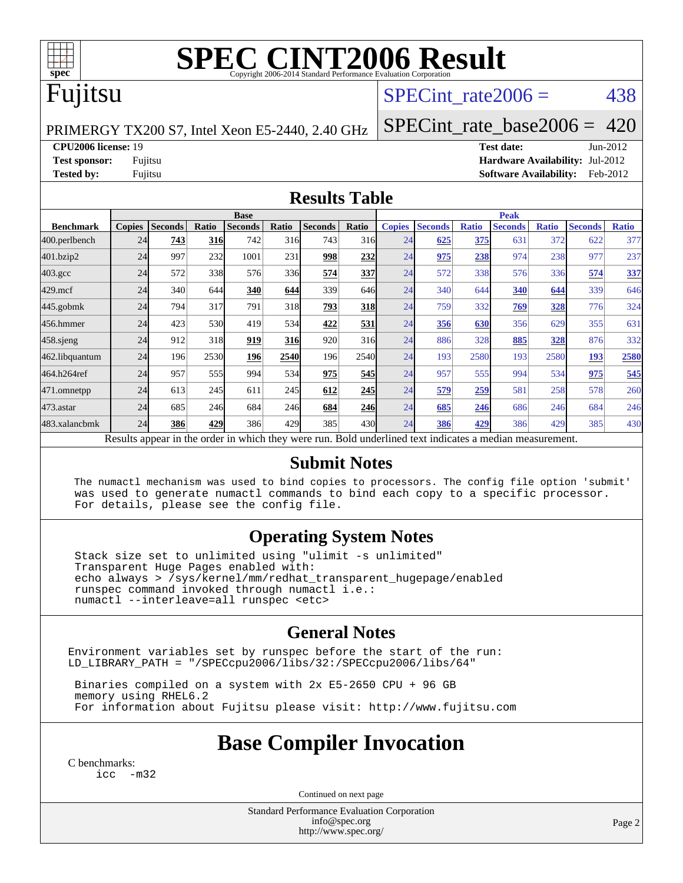

# **[SPEC CINT2006 Result](http://www.spec.org/auto/cpu2006/Docs/result-fields.html#SPECCINT2006Result)**

#### Fujitsu

#### SPECint rate $2006 = 438$

PRIMERGY TX200 S7, Intel Xeon E5-2440, 2.40 GHz

[SPECint\\_rate\\_base2006 =](http://www.spec.org/auto/cpu2006/Docs/result-fields.html#SPECintratebase2006) 420

**[CPU2006 license:](http://www.spec.org/auto/cpu2006/Docs/result-fields.html#CPU2006license)** 19 **[Test date:](http://www.spec.org/auto/cpu2006/Docs/result-fields.html#Testdate)** Jun-2012

**[Test sponsor:](http://www.spec.org/auto/cpu2006/Docs/result-fields.html#Testsponsor)** Fujitsu **[Hardware Availability:](http://www.spec.org/auto/cpu2006/Docs/result-fields.html#HardwareAvailability)** Jul-2012 **[Tested by:](http://www.spec.org/auto/cpu2006/Docs/result-fields.html#Testedby)** Fujitsu **[Software Availability:](http://www.spec.org/auto/cpu2006/Docs/result-fields.html#SoftwareAvailability)** Feb-2012

#### **[Results Table](http://www.spec.org/auto/cpu2006/Docs/result-fields.html#ResultsTable)**

|                                                                                                          | <b>Base</b>   |                |            |                |            |                |       | <b>Peak</b>   |                |              |                |              |                |              |
|----------------------------------------------------------------------------------------------------------|---------------|----------------|------------|----------------|------------|----------------|-------|---------------|----------------|--------------|----------------|--------------|----------------|--------------|
| <b>Benchmark</b>                                                                                         | <b>Copies</b> | <b>Seconds</b> | Ratio      | <b>Seconds</b> | Ratio      | <b>Seconds</b> | Ratio | <b>Copies</b> | <b>Seconds</b> | <b>Ratio</b> | <b>Seconds</b> | <b>Ratio</b> | <b>Seconds</b> | <b>Ratio</b> |
| 400.perlbench                                                                                            | 24            | 743            | <b>316</b> | 742            | 316        | 743            | 316   | 24            | 625            | 375          | 631            | 372          | 622            | 377          |
| 401.bzip2                                                                                                | 24            | 997            | 232        | 1001           | 231        | 998            | 232   | 24            | 975            | 238          | 974            | 238          | 977            | 237          |
| $403.\mathrm{gcc}$                                                                                       | 24            | 572            | 338        | 576            | 336        | 574            | 337   | 24            | 572            | 338          | 576            | 336          | 574            | 337          |
| $429$ .mcf                                                                                               | 24            | 340            | 644        | 340            | 644        | 339            | 646   | 24            | 340            | 644          | 340            | 644          | 339            | 646          |
| 445.gobmk                                                                                                | 24            | 794            | 317        | 791            | 318        | 793            | 318   | 24            | 759            | 332          | 769            | 328          | 776            | 324          |
| 456.hmmer                                                                                                | 24            | 423            | 530        | 419            | 534        | 422            | 531   | 24            | <b>356</b>     | 630          | 356            | 629          | 355            | 631          |
| $458$ .sjeng                                                                                             | 24            | 912            | 318        | 919            | <b>316</b> | 920            | 316   | 24            | 886            | 328          | 885            | 328          | 876            | 332          |
| 462.libquantum                                                                                           | 24            | 196            | 2530       | 196            | 2540       | 196            | 2540  | 24            | 193            | 2580         | 193            | 2580         | 193            | 2580         |
| 464.h264ref                                                                                              | 24            | 957            | 555        | 994            | 534        | 975            | 545   | 24            | 957            | 555          | 994            | 534          | 975            | 545          |
| 471.omnetpp                                                                                              | 24            | 613            | 245        | 611            | 245        | 612            | 245   | 24            | 579            | 259          | 581            | 258          | 578            | 260          |
| $473$ . astar                                                                                            | 24            | 685            | 246        | 684            | 246        | 684            | 246   | 24            | 685            | 246          | 686            | 246          | 684            | 246          |
| 483.xalancbmk                                                                                            | 24            | 386            | 429        | 386            | 429        | 385            | 430   | 24            | 386            | 429          | 386            | 429          | 385            | 430          |
| Results appear in the order in which they were run. Bold underlined text indicates a median measurement. |               |                |            |                |            |                |       |               |                |              |                |              |                |              |

#### **[Submit Notes](http://www.spec.org/auto/cpu2006/Docs/result-fields.html#SubmitNotes)**

 The numactl mechanism was used to bind copies to processors. The config file option 'submit' was used to generate numactl commands to bind each copy to a specific processor. For details, please see the config file.

#### **[Operating System Notes](http://www.spec.org/auto/cpu2006/Docs/result-fields.html#OperatingSystemNotes)**

 Stack size set to unlimited using "ulimit -s unlimited" Transparent Huge Pages enabled with: echo always > /sys/kernel/mm/redhat\_transparent\_hugepage/enabled runspec command invoked through numactl i.e.: numactl --interleave=all runspec <etc>

#### **[General Notes](http://www.spec.org/auto/cpu2006/Docs/result-fields.html#GeneralNotes)**

Environment variables set by runspec before the start of the run: LD\_LIBRARY\_PATH = "/SPECcpu2006/libs/32:/SPECcpu2006/libs/64"

 Binaries compiled on a system with 2x E5-2650 CPU + 96 GB memory using RHEL6.2 For information about Fujitsu please visit: <http://www.fujitsu.com>

#### **[Base Compiler Invocation](http://www.spec.org/auto/cpu2006/Docs/result-fields.html#BaseCompilerInvocation)**

[C benchmarks](http://www.spec.org/auto/cpu2006/Docs/result-fields.html#Cbenchmarks): [icc -m32](http://www.spec.org/cpu2006/results/res2012q3/cpu2006-20120810-24150.flags.html#user_CCbase_intel_icc_5ff4a39e364c98233615fdd38438c6f2)

Continued on next page

Standard Performance Evaluation Corporation [info@spec.org](mailto:info@spec.org) <http://www.spec.org/>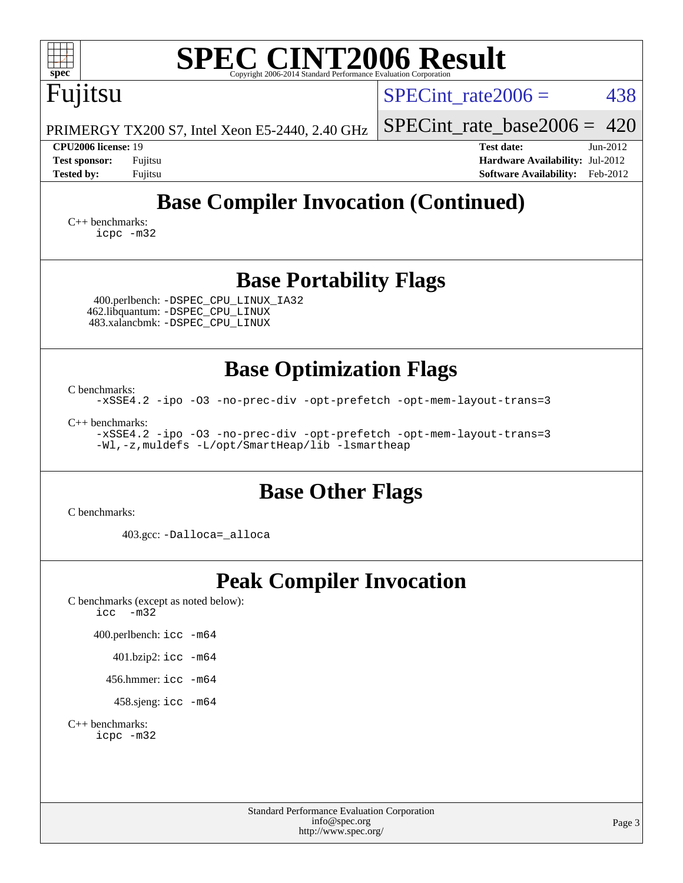| <b>SPEC CINT2006 Result</b><br>spec <sup>®</sup><br>Copyright 2006-2014 Standard Performance Evaluation Corpora                                                                                                                                                          |                                                                                                       |
|--------------------------------------------------------------------------------------------------------------------------------------------------------------------------------------------------------------------------------------------------------------------------|-------------------------------------------------------------------------------------------------------|
| Fujitsu                                                                                                                                                                                                                                                                  | 438<br>$SPECint_rate2006 =$                                                                           |
| PRIMERGY TX200 S7, Intel Xeon E5-2440, 2.40 GHz                                                                                                                                                                                                                          | $SPECint_rate_base2006 = 420$                                                                         |
| CPU2006 license: 19<br><b>Test sponsor:</b><br>Fujitsu<br><b>Tested by:</b><br>Fujitsu                                                                                                                                                                                   | $Jun-2012$<br><b>Test date:</b><br>Hardware Availability: Jul-2012<br>Software Availability: Feb-2012 |
| <b>Base Compiler Invocation (Continued)</b>                                                                                                                                                                                                                              |                                                                                                       |
| $C_{++}$ benchmarks:<br>icpc -m32                                                                                                                                                                                                                                        |                                                                                                       |
| <b>Base Portability Flags</b><br>400.perlbench: -DSPEC_CPU_LINUX_IA32<br>462.libquantum: - DSPEC_CPU_LINUX<br>483.xalancbmk: -DSPEC_CPU_LINUX                                                                                                                            |                                                                                                       |
| <b>Base Optimization Flags</b><br>C benchmarks:<br>-xSSE4.2 -ipo -03 -no-prec-div -opt-prefetch -opt-mem-layout-trans=3<br>$C++$ benchmarks:<br>-xSSE4.2 -ipo -03 -no-prec-div -opt-prefetch -opt-mem-layout-trans=3<br>-Wl,-z, muldefs -L/opt/SmartHeap/lib -lsmartheap |                                                                                                       |
| <b>Base Other Flags</b><br>C benchmarks:                                                                                                                                                                                                                                 |                                                                                                       |
| 403.gcc: -Dalloca=_alloca                                                                                                                                                                                                                                                |                                                                                                       |
| <b>Peak Compiler Invocation</b><br>C benchmarks (except as noted below):<br>icc<br>$-m32$<br>400.perlbench: icc -m64<br>401.bzip2: icc -m64<br>456.hmmer: $\text{icc}$ -m64<br>458.sjeng: icc -m64<br>$C_{++}$ benchmarks:<br>icpc -m32                                  |                                                                                                       |
| <b>Standard Performance Evaluation Corporation</b><br>info@spec.org<br>http://www.spec.org/                                                                                                                                                                              | Page 3                                                                                                |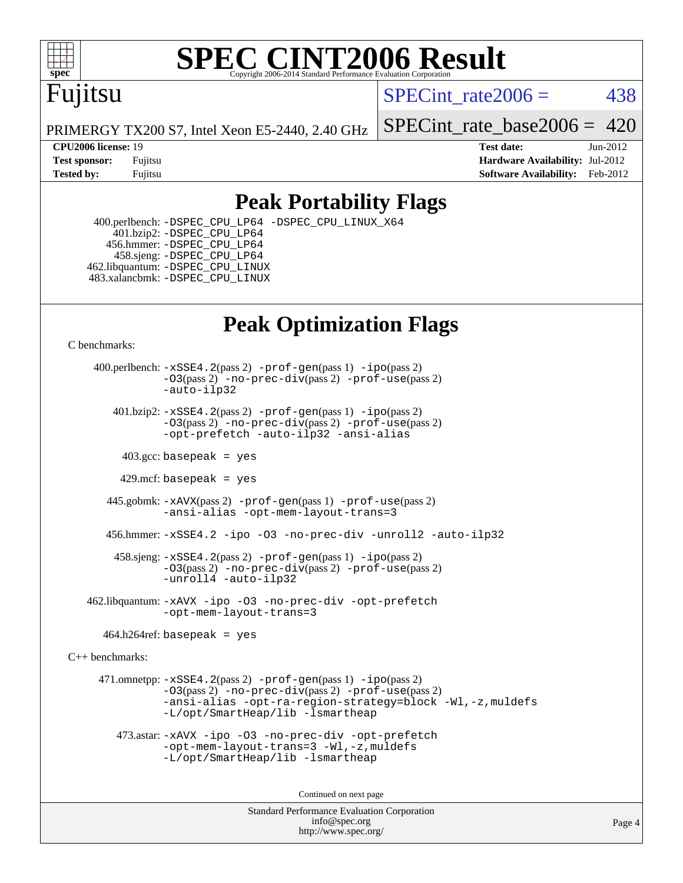

# **[SPEC CINT2006 Result](http://www.spec.org/auto/cpu2006/Docs/result-fields.html#SPECCINT2006Result)**

## Fujitsu

SPECint rate $2006 = 438$ 

PRIMERGY TX200 S7, Intel Xeon E5-2440, 2.40 GHz

[SPECint\\_rate\\_base2006 =](http://www.spec.org/auto/cpu2006/Docs/result-fields.html#SPECintratebase2006) 420

**[CPU2006 license:](http://www.spec.org/auto/cpu2006/Docs/result-fields.html#CPU2006license)** 19 **[Test date:](http://www.spec.org/auto/cpu2006/Docs/result-fields.html#Testdate)** Jun-2012 **[Test sponsor:](http://www.spec.org/auto/cpu2006/Docs/result-fields.html#Testsponsor)** Fujitsu **[Hardware Availability:](http://www.spec.org/auto/cpu2006/Docs/result-fields.html#HardwareAvailability)** Jul-2012 **[Tested by:](http://www.spec.org/auto/cpu2006/Docs/result-fields.html#Testedby)** Fujitsu **Fugital Example 2012 [Software Availability:](http://www.spec.org/auto/cpu2006/Docs/result-fields.html#SoftwareAvailability)** Feb-2012

#### **[Peak Portability Flags](http://www.spec.org/auto/cpu2006/Docs/result-fields.html#PeakPortabilityFlags)**

 400.perlbench: [-DSPEC\\_CPU\\_LP64](http://www.spec.org/cpu2006/results/res2012q3/cpu2006-20120810-24150.flags.html#b400.perlbench_peakCPORTABILITY_DSPEC_CPU_LP64) [-DSPEC\\_CPU\\_LINUX\\_X64](http://www.spec.org/cpu2006/results/res2012q3/cpu2006-20120810-24150.flags.html#b400.perlbench_peakCPORTABILITY_DSPEC_CPU_LINUX_X64)  $401.bzip2: -DSPEC_CPULP64$  456.hmmer: [-DSPEC\\_CPU\\_LP64](http://www.spec.org/cpu2006/results/res2012q3/cpu2006-20120810-24150.flags.html#suite_peakCPORTABILITY456_hmmer_DSPEC_CPU_LP64) 458.sjeng: [-DSPEC\\_CPU\\_LP64](http://www.spec.org/cpu2006/results/res2012q3/cpu2006-20120810-24150.flags.html#suite_peakCPORTABILITY458_sjeng_DSPEC_CPU_LP64) 462.libquantum: [-DSPEC\\_CPU\\_LINUX](http://www.spec.org/cpu2006/results/res2012q3/cpu2006-20120810-24150.flags.html#b462.libquantum_peakCPORTABILITY_DSPEC_CPU_LINUX) 483.xalancbmk: [-DSPEC\\_CPU\\_LINUX](http://www.spec.org/cpu2006/results/res2012q3/cpu2006-20120810-24150.flags.html#b483.xalancbmk_peakCXXPORTABILITY_DSPEC_CPU_LINUX)

## **[Peak Optimization Flags](http://www.spec.org/auto/cpu2006/Docs/result-fields.html#PeakOptimizationFlags)**

[C benchmarks](http://www.spec.org/auto/cpu2006/Docs/result-fields.html#Cbenchmarks):

 400.perlbench: [-xSSE4.2](http://www.spec.org/cpu2006/results/res2012q3/cpu2006-20120810-24150.flags.html#user_peakPASS2_CFLAGSPASS2_LDCFLAGS400_perlbench_f-xSSE42_f91528193cf0b216347adb8b939d4107)(pass 2) [-prof-gen](http://www.spec.org/cpu2006/results/res2012q3/cpu2006-20120810-24150.flags.html#user_peakPASS1_CFLAGSPASS1_LDCFLAGS400_perlbench_prof_gen_e43856698f6ca7b7e442dfd80e94a8fc)(pass 1) [-ipo](http://www.spec.org/cpu2006/results/res2012q3/cpu2006-20120810-24150.flags.html#user_peakPASS2_CFLAGSPASS2_LDCFLAGS400_perlbench_f-ipo)(pass 2) [-O3](http://www.spec.org/cpu2006/results/res2012q3/cpu2006-20120810-24150.flags.html#user_peakPASS2_CFLAGSPASS2_LDCFLAGS400_perlbench_f-O3)(pass 2) [-no-prec-div](http://www.spec.org/cpu2006/results/res2012q3/cpu2006-20120810-24150.flags.html#user_peakPASS2_CFLAGSPASS2_LDCFLAGS400_perlbench_f-no-prec-div)(pass 2) [-prof-use](http://www.spec.org/cpu2006/results/res2012q3/cpu2006-20120810-24150.flags.html#user_peakPASS2_CFLAGSPASS2_LDCFLAGS400_perlbench_prof_use_bccf7792157ff70d64e32fe3e1250b55)(pass 2) [-auto-ilp32](http://www.spec.org/cpu2006/results/res2012q3/cpu2006-20120810-24150.flags.html#user_peakCOPTIMIZE400_perlbench_f-auto-ilp32)  $401.bzip2: -xSSE4.2(pass 2) -prof-qen(pass 1) -ipo(pass 2)$  $401.bzip2: -xSSE4.2(pass 2) -prof-qen(pass 1) -ipo(pass 2)$  $401.bzip2: -xSSE4.2(pass 2) -prof-qen(pass 1) -ipo(pass 2)$  $401.bzip2: -xSSE4.2(pass 2) -prof-qen(pass 1) -ipo(pass 2)$  $401.bzip2: -xSSE4.2(pass 2) -prof-qen(pass 1) -ipo(pass 2)$ [-O3](http://www.spec.org/cpu2006/results/res2012q3/cpu2006-20120810-24150.flags.html#user_peakPASS2_CFLAGSPASS2_LDCFLAGS401_bzip2_f-O3)(pass 2) [-no-prec-div](http://www.spec.org/cpu2006/results/res2012q3/cpu2006-20120810-24150.flags.html#user_peakPASS2_CFLAGSPASS2_LDCFLAGS401_bzip2_f-no-prec-div)(pass 2) [-prof-use](http://www.spec.org/cpu2006/results/res2012q3/cpu2006-20120810-24150.flags.html#user_peakPASS2_CFLAGSPASS2_LDCFLAGS401_bzip2_prof_use_bccf7792157ff70d64e32fe3e1250b55)(pass 2) [-opt-prefetch](http://www.spec.org/cpu2006/results/res2012q3/cpu2006-20120810-24150.flags.html#user_peakCOPTIMIZE401_bzip2_f-opt-prefetch) [-auto-ilp32](http://www.spec.org/cpu2006/results/res2012q3/cpu2006-20120810-24150.flags.html#user_peakCOPTIMIZE401_bzip2_f-auto-ilp32) [-ansi-alias](http://www.spec.org/cpu2006/results/res2012q3/cpu2006-20120810-24150.flags.html#user_peakCOPTIMIZE401_bzip2_f-ansi-alias)  $403.\text{sec: basepeak}$  = yes 429.mcf: basepeak = yes 445.gobmk: [-xAVX](http://www.spec.org/cpu2006/results/res2012q3/cpu2006-20120810-24150.flags.html#user_peakPASS2_CFLAGSPASS2_LDCFLAGS445_gobmk_f-xAVX)(pass 2) [-prof-gen](http://www.spec.org/cpu2006/results/res2012q3/cpu2006-20120810-24150.flags.html#user_peakPASS1_CFLAGSPASS1_LDCFLAGS445_gobmk_prof_gen_e43856698f6ca7b7e442dfd80e94a8fc)(pass 1) [-prof-use](http://www.spec.org/cpu2006/results/res2012q3/cpu2006-20120810-24150.flags.html#user_peakPASS2_CFLAGSPASS2_LDCFLAGS445_gobmk_prof_use_bccf7792157ff70d64e32fe3e1250b55)(pass 2) [-ansi-alias](http://www.spec.org/cpu2006/results/res2012q3/cpu2006-20120810-24150.flags.html#user_peakCOPTIMIZE445_gobmk_f-ansi-alias) [-opt-mem-layout-trans=3](http://www.spec.org/cpu2006/results/res2012q3/cpu2006-20120810-24150.flags.html#user_peakCOPTIMIZE445_gobmk_f-opt-mem-layout-trans_a7b82ad4bd7abf52556d4961a2ae94d5) 456.hmmer: [-xSSE4.2](http://www.spec.org/cpu2006/results/res2012q3/cpu2006-20120810-24150.flags.html#user_peakCOPTIMIZE456_hmmer_f-xSSE42_f91528193cf0b216347adb8b939d4107) [-ipo](http://www.spec.org/cpu2006/results/res2012q3/cpu2006-20120810-24150.flags.html#user_peakCOPTIMIZE456_hmmer_f-ipo) [-O3](http://www.spec.org/cpu2006/results/res2012q3/cpu2006-20120810-24150.flags.html#user_peakCOPTIMIZE456_hmmer_f-O3) [-no-prec-div](http://www.spec.org/cpu2006/results/res2012q3/cpu2006-20120810-24150.flags.html#user_peakCOPTIMIZE456_hmmer_f-no-prec-div) [-unroll2](http://www.spec.org/cpu2006/results/res2012q3/cpu2006-20120810-24150.flags.html#user_peakCOPTIMIZE456_hmmer_f-unroll_784dae83bebfb236979b41d2422d7ec2) [-auto-ilp32](http://www.spec.org/cpu2006/results/res2012q3/cpu2006-20120810-24150.flags.html#user_peakCOPTIMIZE456_hmmer_f-auto-ilp32) 458.sjeng: [-xSSE4.2](http://www.spec.org/cpu2006/results/res2012q3/cpu2006-20120810-24150.flags.html#user_peakPASS2_CFLAGSPASS2_LDCFLAGS458_sjeng_f-xSSE42_f91528193cf0b216347adb8b939d4107)(pass 2) [-prof-gen](http://www.spec.org/cpu2006/results/res2012q3/cpu2006-20120810-24150.flags.html#user_peakPASS1_CFLAGSPASS1_LDCFLAGS458_sjeng_prof_gen_e43856698f6ca7b7e442dfd80e94a8fc)(pass 1) [-ipo](http://www.spec.org/cpu2006/results/res2012q3/cpu2006-20120810-24150.flags.html#user_peakPASS2_CFLAGSPASS2_LDCFLAGS458_sjeng_f-ipo)(pass 2) [-O3](http://www.spec.org/cpu2006/results/res2012q3/cpu2006-20120810-24150.flags.html#user_peakPASS2_CFLAGSPASS2_LDCFLAGS458_sjeng_f-O3)(pass 2) [-no-prec-div](http://www.spec.org/cpu2006/results/res2012q3/cpu2006-20120810-24150.flags.html#user_peakPASS2_CFLAGSPASS2_LDCFLAGS458_sjeng_f-no-prec-div)(pass 2) [-prof-use](http://www.spec.org/cpu2006/results/res2012q3/cpu2006-20120810-24150.flags.html#user_peakPASS2_CFLAGSPASS2_LDCFLAGS458_sjeng_prof_use_bccf7792157ff70d64e32fe3e1250b55)(pass 2) [-unroll4](http://www.spec.org/cpu2006/results/res2012q3/cpu2006-20120810-24150.flags.html#user_peakCOPTIMIZE458_sjeng_f-unroll_4e5e4ed65b7fd20bdcd365bec371b81f) [-auto-ilp32](http://www.spec.org/cpu2006/results/res2012q3/cpu2006-20120810-24150.flags.html#user_peakCOPTIMIZE458_sjeng_f-auto-ilp32) 462.libquantum: [-xAVX](http://www.spec.org/cpu2006/results/res2012q3/cpu2006-20120810-24150.flags.html#user_peakCOPTIMIZE462_libquantum_f-xAVX) [-ipo](http://www.spec.org/cpu2006/results/res2012q3/cpu2006-20120810-24150.flags.html#user_peakCOPTIMIZE462_libquantum_f-ipo) [-O3](http://www.spec.org/cpu2006/results/res2012q3/cpu2006-20120810-24150.flags.html#user_peakCOPTIMIZE462_libquantum_f-O3) [-no-prec-div](http://www.spec.org/cpu2006/results/res2012q3/cpu2006-20120810-24150.flags.html#user_peakCOPTIMIZE462_libquantum_f-no-prec-div) [-opt-prefetch](http://www.spec.org/cpu2006/results/res2012q3/cpu2006-20120810-24150.flags.html#user_peakCOPTIMIZE462_libquantum_f-opt-prefetch) [-opt-mem-layout-trans=3](http://www.spec.org/cpu2006/results/res2012q3/cpu2006-20120810-24150.flags.html#user_peakCOPTIMIZE462_libquantum_f-opt-mem-layout-trans_a7b82ad4bd7abf52556d4961a2ae94d5)  $464.h264$ ref: basepeak = yes

[C++ benchmarks:](http://www.spec.org/auto/cpu2006/Docs/result-fields.html#CXXbenchmarks)

 471.omnetpp: [-xSSE4.2](http://www.spec.org/cpu2006/results/res2012q3/cpu2006-20120810-24150.flags.html#user_peakPASS2_CXXFLAGSPASS2_LDCXXFLAGS471_omnetpp_f-xSSE42_f91528193cf0b216347adb8b939d4107)(pass 2) [-prof-gen](http://www.spec.org/cpu2006/results/res2012q3/cpu2006-20120810-24150.flags.html#user_peakPASS1_CXXFLAGSPASS1_LDCXXFLAGS471_omnetpp_prof_gen_e43856698f6ca7b7e442dfd80e94a8fc)(pass 1) [-ipo](http://www.spec.org/cpu2006/results/res2012q3/cpu2006-20120810-24150.flags.html#user_peakPASS2_CXXFLAGSPASS2_LDCXXFLAGS471_omnetpp_f-ipo)(pass 2) [-O3](http://www.spec.org/cpu2006/results/res2012q3/cpu2006-20120810-24150.flags.html#user_peakPASS2_CXXFLAGSPASS2_LDCXXFLAGS471_omnetpp_f-O3)(pass 2) [-no-prec-div](http://www.spec.org/cpu2006/results/res2012q3/cpu2006-20120810-24150.flags.html#user_peakPASS2_CXXFLAGSPASS2_LDCXXFLAGS471_omnetpp_f-no-prec-div)(pass 2) [-prof-use](http://www.spec.org/cpu2006/results/res2012q3/cpu2006-20120810-24150.flags.html#user_peakPASS2_CXXFLAGSPASS2_LDCXXFLAGS471_omnetpp_prof_use_bccf7792157ff70d64e32fe3e1250b55)(pass 2) [-ansi-alias](http://www.spec.org/cpu2006/results/res2012q3/cpu2006-20120810-24150.flags.html#user_peakCXXOPTIMIZE471_omnetpp_f-ansi-alias) [-opt-ra-region-strategy=block](http://www.spec.org/cpu2006/results/res2012q3/cpu2006-20120810-24150.flags.html#user_peakCXXOPTIMIZE471_omnetpp_f-opt-ra-region-strategy_a0a37c372d03933b2a18d4af463c1f69) [-Wl,-z,muldefs](http://www.spec.org/cpu2006/results/res2012q3/cpu2006-20120810-24150.flags.html#user_peakEXTRA_LDFLAGS471_omnetpp_link_force_multiple1_74079c344b956b9658436fd1b6dd3a8a) [-L/opt/SmartHeap/lib -lsmartheap](http://www.spec.org/cpu2006/results/res2012q3/cpu2006-20120810-24150.flags.html#user_peakEXTRA_LIBS471_omnetpp_SmartHeap_1046f488ce4b4d9d2689b01742ccb999)

 473.astar: [-xAVX](http://www.spec.org/cpu2006/results/res2012q3/cpu2006-20120810-24150.flags.html#user_peakCXXOPTIMIZE473_astar_f-xAVX) [-ipo](http://www.spec.org/cpu2006/results/res2012q3/cpu2006-20120810-24150.flags.html#user_peakCXXOPTIMIZE473_astar_f-ipo) [-O3](http://www.spec.org/cpu2006/results/res2012q3/cpu2006-20120810-24150.flags.html#user_peakCXXOPTIMIZE473_astar_f-O3) [-no-prec-div](http://www.spec.org/cpu2006/results/res2012q3/cpu2006-20120810-24150.flags.html#user_peakCXXOPTIMIZE473_astar_f-no-prec-div) [-opt-prefetch](http://www.spec.org/cpu2006/results/res2012q3/cpu2006-20120810-24150.flags.html#user_peakCXXOPTIMIZE473_astar_f-opt-prefetch) [-opt-mem-layout-trans=3](http://www.spec.org/cpu2006/results/res2012q3/cpu2006-20120810-24150.flags.html#user_peakCXXOPTIMIZE473_astar_f-opt-mem-layout-trans_a7b82ad4bd7abf52556d4961a2ae94d5) [-Wl,-z,muldefs](http://www.spec.org/cpu2006/results/res2012q3/cpu2006-20120810-24150.flags.html#user_peakEXTRA_LDFLAGS473_astar_link_force_multiple1_74079c344b956b9658436fd1b6dd3a8a) [-L/opt/SmartHeap/lib -lsmartheap](http://www.spec.org/cpu2006/results/res2012q3/cpu2006-20120810-24150.flags.html#user_peakEXTRA_LIBS473_astar_SmartHeap_1046f488ce4b4d9d2689b01742ccb999)

Continued on next page

Standard Performance Evaluation Corporation [info@spec.org](mailto:info@spec.org) <http://www.spec.org/>